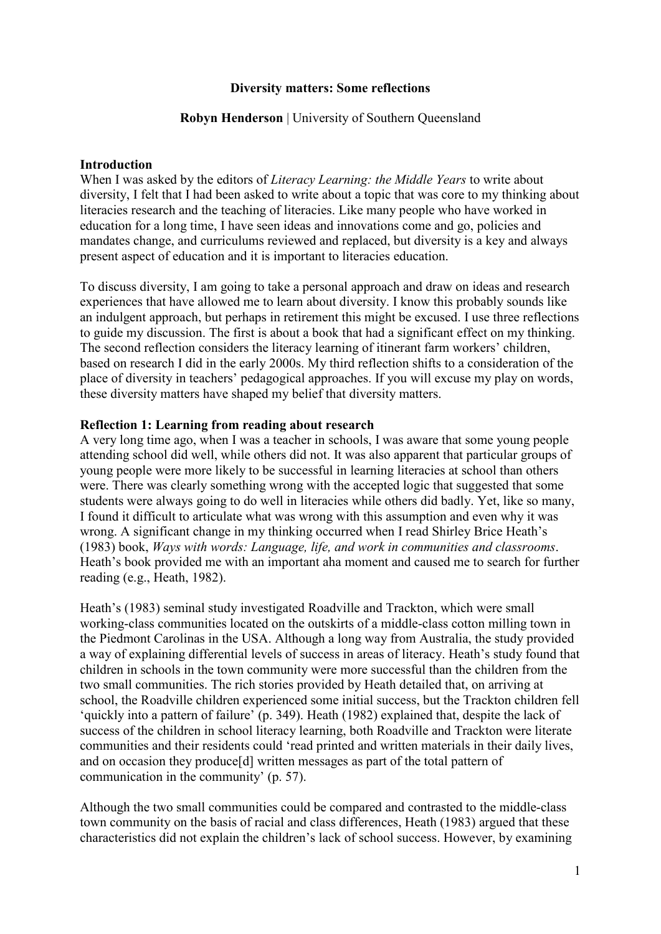# **Diversity matters: Some reflections**

#### **Robyn Henderson** | University of Southern Oueensland

# **Introduction**

When I was asked by the editors of *Literacy Learning: the Middle Years* to write about diversity, I felt that I had been asked to write about a topic that was core to my thinking about literacies research and the teaching of literacies. Like many people who have worked in education for a long time, I have seen ideas and innovations come and go, policies and mandates change, and curriculums reviewed and replaced, but diversity is a key and always present aspect of education and it is important to literacies education.

To discuss diversity, I am going to take a personal approach and draw on ideas and research experiences that have allowed me to learn about diversity. I know this probably sounds like an indulgent approach, but perhaps in retirement this might be excused. I use three reflections to guide my discussion. The first is about a book that had a significant effect on my thinking. The second reflection considers the literacy learning of itinerant farm workers' children, based on research I did in the early 2000s. My third reflection shifts to a consideration of the place of diversity in teachers' pedagogical approaches. If you will excuse my play on words, these diversity matters have shaped my belief that diversity matters.

### **Reflection 1: Learning from reading about research**

A very long time ago, when I was a teacher in schools, I was aware that some young people attending school did well, while others did not. It was also apparent that particular groups of young people were more likely to be successful in learning literacies at school than others were. There was clearly something wrong with the accepted logic that suggested that some students were always going to do well in literacies while others did badly. Yet, like so many, I found it difficult to articulate what was wrong with this assumption and even why it was wrong. A significant change in my thinking occurred when I read Shirley Brice Heath's (1983) book, *Ways with words: Language, life, and work in communities and classrooms*. Heath's book provided me with an important aha moment and caused me to search for further reading (e.g., Heath, 1982).

Heath's (1983) seminal study investigated Roadville and Trackton, which were small working-class communities located on the outskirts of a middle-class cotton milling town in the Piedmont Carolinas in the USA. Although a long way from Australia, the study provided a way of explaining differential levels of success in areas of literacy. Heath's study found that children in schools in the town community were more successful than the children from the two small communities. The rich stories provided by Heath detailed that, on arriving at school, the Roadville children experienced some initial success, but the Trackton children fell 'quickly into a pattern of failure' (p. 349). Heath (1982) explained that, despite the lack of success of the children in school literacy learning, both Roadville and Trackton were literate communities and their residents could 'read printed and written materials in their daily lives, and on occasion they produce[d] written messages as part of the total pattern of communication in the community' (p. 57).

Although the two small communities could be compared and contrasted to the middle-class town community on the basis of racial and class differences, Heath (1983) argued that these characteristics did not explain the children's lack of school success. However, by examining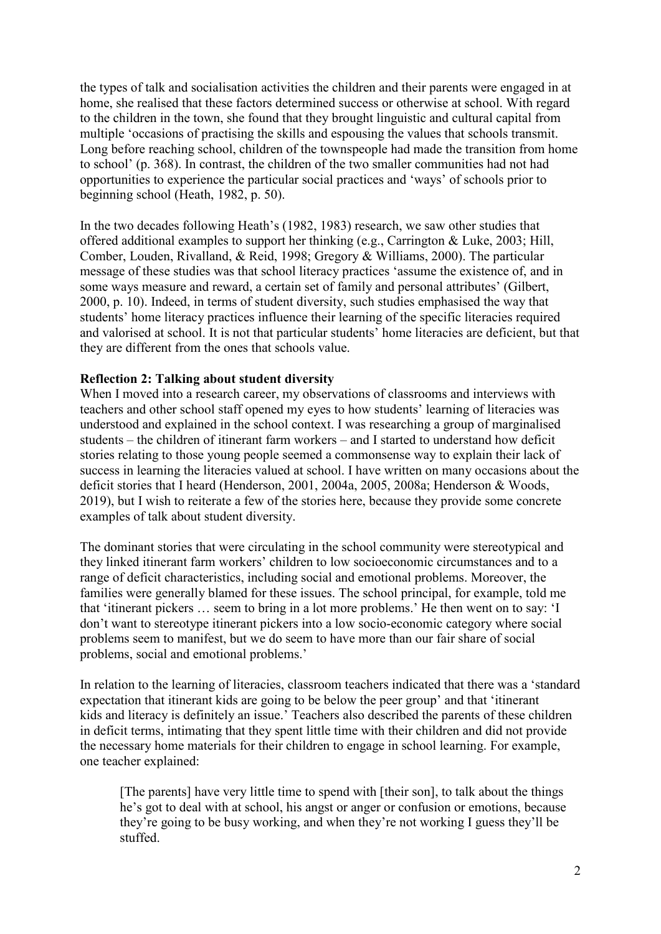the types of talk and socialisation activities the children and their parents were engaged in at home, she realised that these factors determined success or otherwise at school. With regard to the children in the town, she found that they brought linguistic and cultural capital from multiple 'occasions of practising the skills and espousing the values that schools transmit. Long before reaching school, children of the townspeople had made the transition from home to school' (p. 368). In contrast, the children of the two smaller communities had not had opportunities to experience the particular social practices and 'ways' of schools prior to beginning school (Heath, 1982, p. 50).

In the two decades following Heath's (1982, 1983) research, we saw other studies that offered additional examples to support her thinking (e.g., Carrington & Luke, 2003; Hill, Comber, Louden, Rivalland, & Reid, 1998; Gregory & Williams, 2000). The particular message of these studies was that school literacy practices 'assume the existence of, and in some ways measure and reward, a certain set of family and personal attributes' (Gilbert, 2000, p. 10). Indeed, in terms of student diversity, such studies emphasised the way that students' home literacy practices influence their learning of the specific literacies required and valorised at school. It is not that particular students' home literacies are deficient, but that they are different from the ones that schools value.

### **Reflection 2: Talking about student diversity**

When I moved into a research career, my observations of classrooms and interviews with teachers and other school staff opened my eyes to how students' learning of literacies was understood and explained in the school context. I was researching a group of marginalised students – the children of itinerant farm workers – and I started to understand how deficit stories relating to those young people seemed a commonsense way to explain their lack of success in learning the literacies valued at school. I have written on many occasions about the deficit stories that I heard (Henderson, 2001, 2004a, 2005, 2008a; Henderson & Woods, 2019), but I wish to reiterate a few of the stories here, because they provide some concrete examples of talk about student diversity.

The dominant stories that were circulating in the school community were stereotypical and they linked itinerant farm workers' children to low socioeconomic circumstances and to a range of deficit characteristics, including social and emotional problems. Moreover, the families were generally blamed for these issues. The school principal, for example, told me that 'itinerant pickers … seem to bring in a lot more problems.' He then went on to say: 'I don't want to stereotype itinerant pickers into a low socio-economic category where social problems seem to manifest, but we do seem to have more than our fair share of social problems, social and emotional problems.'

In relation to the learning of literacies, classroom teachers indicated that there was a 'standard expectation that itinerant kids are going to be below the peer group' and that 'itinerant kids and literacy is definitely an issue.' Teachers also described the parents of these children in deficit terms, intimating that they spent little time with their children and did not provide the necessary home materials for their children to engage in school learning. For example, one teacher explained:

[The parents] have very little time to spend with [their son], to talk about the things he's got to deal with at school, his angst or anger or confusion or emotions, because they're going to be busy working, and when they're not working I guess they'll be stuffed.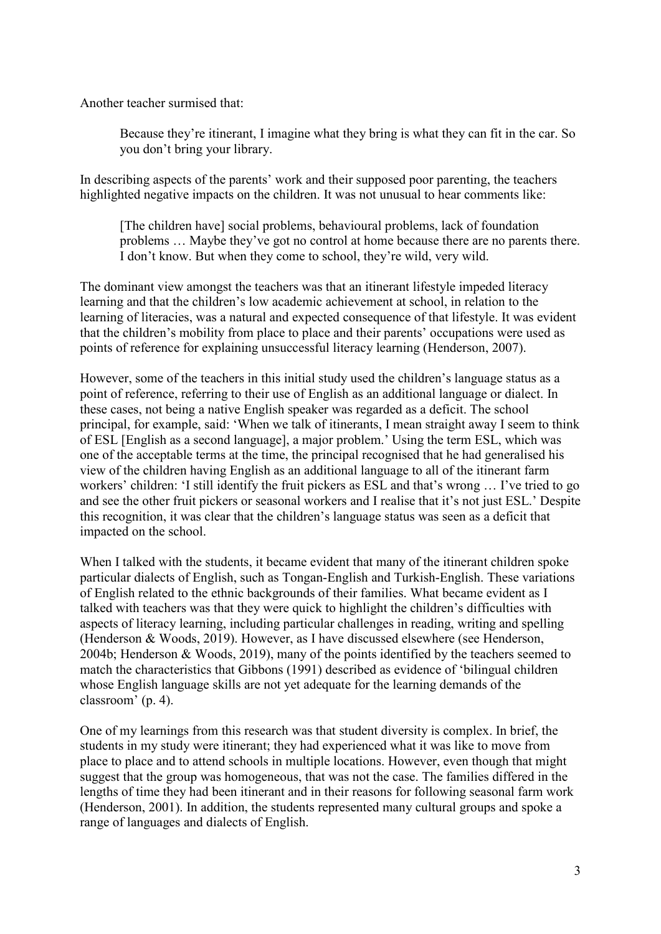Another teacher surmised that:

Because they're itinerant, I imagine what they bring is what they can fit in the car. So you don't bring your library.

In describing aspects of the parents' work and their supposed poor parenting, the teachers highlighted negative impacts on the children. It was not unusual to hear comments like:

[The children have] social problems, behavioural problems, lack of foundation problems … Maybe they've got no control at home because there are no parents there. I don't know. But when they come to school, they're wild, very wild.

The dominant view amongst the teachers was that an itinerant lifestyle impeded literacy learning and that the children's low academic achievement at school, in relation to the learning of literacies, was a natural and expected consequence of that lifestyle. It was evident that the children's mobility from place to place and their parents' occupations were used as points of reference for explaining unsuccessful literacy learning (Henderson, 2007).

However, some of the teachers in this initial study used the children's language status as a point of reference, referring to their use of English as an additional language or dialect. In these cases, not being a native English speaker was regarded as a deficit. The school principal, for example, said: 'When we talk of itinerants, I mean straight away I seem to think of ESL [English as a second language], a major problem.' Using the term ESL, which was one of the acceptable terms at the time, the principal recognised that he had generalised his view of the children having English as an additional language to all of the itinerant farm workers' children: 'I still identify the fruit pickers as ESL and that's wrong … I've tried to go and see the other fruit pickers or seasonal workers and I realise that it's not just ESL.' Despite this recognition, it was clear that the children's language status was seen as a deficit that impacted on the school.

When I talked with the students, it became evident that many of the itinerant children spoke particular dialects of English, such as Tongan-English and Turkish-English. These variations of English related to the ethnic backgrounds of their families. What became evident as I talked with teachers was that they were quick to highlight the children's difficulties with aspects of literacy learning, including particular challenges in reading, writing and spelling (Henderson & Woods, 2019). However, as I have discussed elsewhere (see Henderson, 2004b; Henderson & Woods, 2019), many of the points identified by the teachers seemed to match the characteristics that Gibbons (1991) described as evidence of 'bilingual children whose English language skills are not yet adequate for the learning demands of the classroom' (p. 4).

One of my learnings from this research was that student diversity is complex. In brief, the students in my study were itinerant; they had experienced what it was like to move from place to place and to attend schools in multiple locations. However, even though that might suggest that the group was homogeneous, that was not the case. The families differed in the lengths of time they had been itinerant and in their reasons for following seasonal farm work (Henderson, 2001). In addition, the students represented many cultural groups and spoke a range of languages and dialects of English.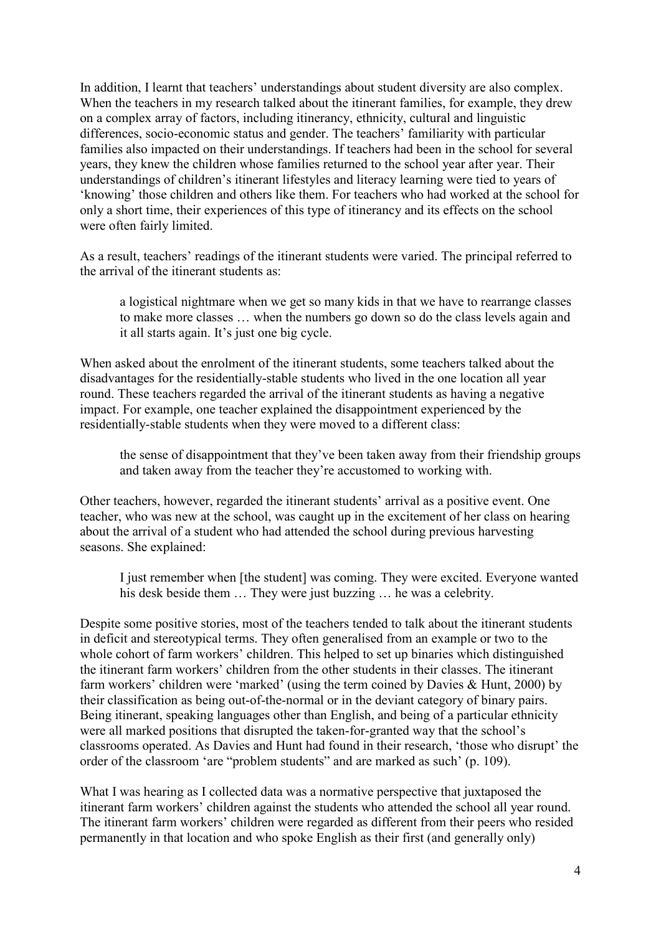In addition, I learnt that teachers' understandings about student diversity are also complex. When the teachers in my research talked about the itinerant families, for example, they drew on a complex array of factors, including itinerancy, ethnicity, cultural and linguistic differences, socio-economic status and gender. The teachers' familiarity with particular families also impacted on their understandings. If teachers had been in the school for several years, they knew the children whose families returned to the school year after year. Their understandings of children's itinerant lifestyles and literacy learning were tied to years of 'knowing' those children and others like them. For teachers who had worked at the school for only a short time, their experiences of this type of itinerancy and its effects on the school were often fairly limited.

As a result, teachers' readings of the itinerant students were varied. The principal referred to the arrival of the itinerant students as:

a logistical nightmare when we get so many kids in that we have to rearrange classes to make more classes … when the numbers go down so do the class levels again and it all starts again. It's just one big cycle.

When asked about the enrolment of the itinerant students, some teachers talked about the disadvantages for the residentially-stable students who lived in the one location all year round. These teachers regarded the arrival of the itinerant students as having a negative impact. For example, one teacher explained the disappointment experienced by the residentially-stable students when they were moved to a different class:

the sense of disappointment that they've been taken away from their friendship groups and taken away from the teacher they're accustomed to working with.

Other teachers, however, regarded the itinerant students' arrival as a positive event. One teacher, who was new at the school, was caught up in the excitement of her class on hearing about the arrival of a student who had attended the school during previous harvesting seasons. She explained:

I just remember when [the student] was coming. They were excited. Everyone wanted his desk beside them ... They were just buzzing ... he was a celebrity.

Despite some positive stories, most of the teachers tended to talk about the itinerant students in deficit and stereotypical terms. They often generalised from an example or two to the whole cohort of farm workers' children. This helped to set up binaries which distinguished the itinerant farm workers' children from the other students in their classes. The itinerant farm workers' children were 'marked' (using the term coined by Davies & Hunt, 2000) by their classification as being out-of-the-normal or in the deviant category of binary pairs. Being itinerant, speaking languages other than English, and being of a particular ethnicity were all marked positions that disrupted the taken-for-granted way that the school's classrooms operated. As Davies and Hunt had found in their research, 'those who disrupt' the order of the classroom 'are "problem students" and are marked as such' (p. 109).

What I was hearing as I collected data was a normative perspective that juxtaposed the itinerant farm workers' children against the students who attended the school all year round. The itinerant farm workers' children were regarded as different from their peers who resided permanently in that location and who spoke English as their first (and generally only)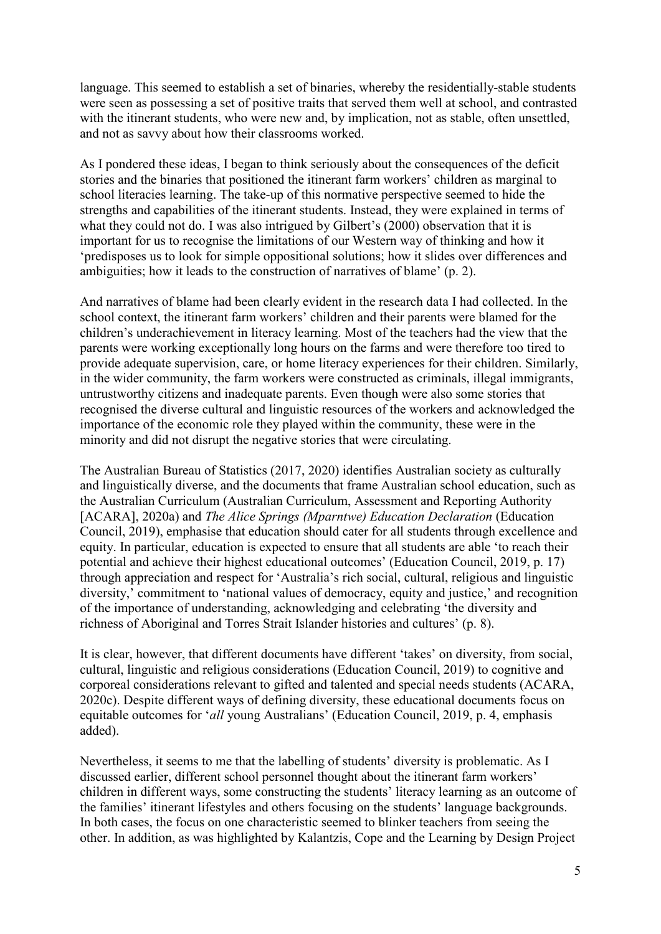language. This seemed to establish a set of binaries, whereby the residentially-stable students were seen as possessing a set of positive traits that served them well at school, and contrasted with the itinerant students, who were new and, by implication, not as stable, often unsettled, and not as savvy about how their classrooms worked.

As I pondered these ideas, I began to think seriously about the consequences of the deficit stories and the binaries that positioned the itinerant farm workers' children as marginal to school literacies learning. The take-up of this normative perspective seemed to hide the strengths and capabilities of the itinerant students. Instead, they were explained in terms of what they could not do. I was also intrigued by Gilbert's (2000) observation that it is important for us to recognise the limitations of our Western way of thinking and how it 'predisposes us to look for simple oppositional solutions; how it slides over differences and ambiguities; how it leads to the construction of narratives of blame' (p. 2).

And narratives of blame had been clearly evident in the research data I had collected. In the school context, the itinerant farm workers' children and their parents were blamed for the children's underachievement in literacy learning. Most of the teachers had the view that the parents were working exceptionally long hours on the farms and were therefore too tired to provide adequate supervision, care, or home literacy experiences for their children. Similarly, in the wider community, the farm workers were constructed as criminals, illegal immigrants, untrustworthy citizens and inadequate parents. Even though were also some stories that recognised the diverse cultural and linguistic resources of the workers and acknowledged the importance of the economic role they played within the community, these were in the minority and did not disrupt the negative stories that were circulating.

The Australian Bureau of Statistics (2017, 2020) identifies Australian society as culturally and linguistically diverse, and the documents that frame Australian school education, such as the Australian Curriculum (Australian Curriculum, Assessment and Reporting Authority [ACARA], 2020a) and *The Alice Springs (Mparntwe) Education Declaration* (Education Council, 2019), emphasise that education should cater for all students through excellence and equity. In particular, education is expected to ensure that all students are able 'to reach their potential and achieve their highest educational outcomes' (Education Council, 2019, p. 17) through appreciation and respect for 'Australia's rich social, cultural, religious and linguistic diversity,' commitment to 'national values of democracy, equity and justice,' and recognition of the importance of understanding, acknowledging and celebrating 'the diversity and richness of Aboriginal and Torres Strait Islander histories and cultures' (p. 8).

It is clear, however, that different documents have different 'takes' on diversity, from social, cultural, linguistic and religious considerations (Education Council, 2019) to cognitive and corporeal considerations relevant to gifted and talented and special needs students (ACARA, 2020c). Despite different ways of defining diversity, these educational documents focus on equitable outcomes for '*all* young Australians' (Education Council, 2019, p. 4, emphasis added).

Nevertheless, it seems to me that the labelling of students' diversity is problematic. As I discussed earlier, different school personnel thought about the itinerant farm workers' children in different ways, some constructing the students' literacy learning as an outcome of the families' itinerant lifestyles and others focusing on the students' language backgrounds. In both cases, the focus on one characteristic seemed to blinker teachers from seeing the other. In addition, as was highlighted by Kalantzis, Cope and the Learning by Design Project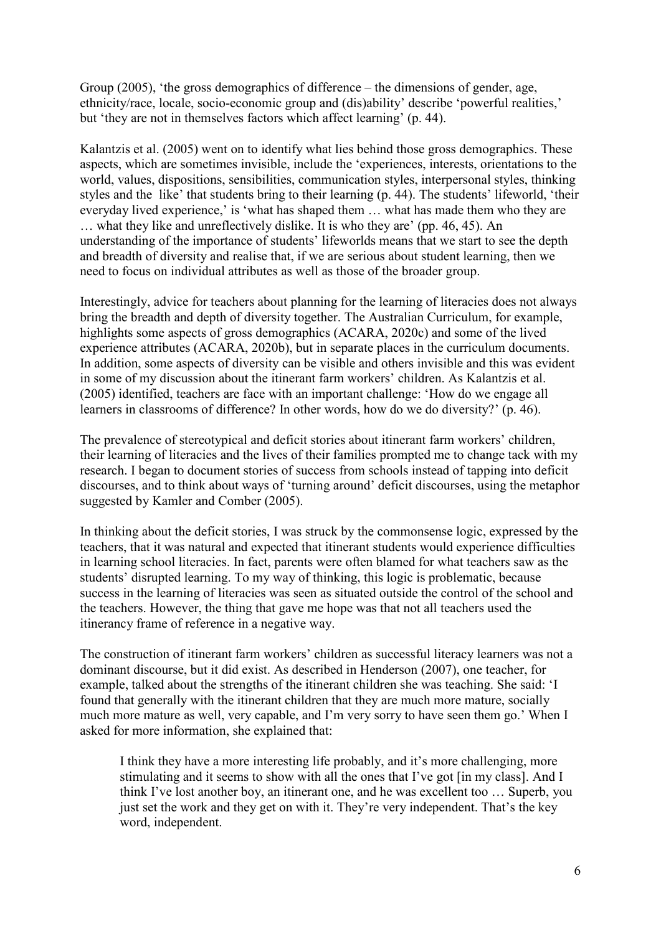Group (2005), 'the gross demographics of difference – the dimensions of gender, age, ethnicity/race, locale, socio-economic group and (dis)ability' describe 'powerful realities,' but 'they are not in themselves factors which affect learning' (p. 44).

Kalantzis et al. (2005) went on to identify what lies behind those gross demographics. These aspects, which are sometimes invisible, include the 'experiences, interests, orientations to the world, values, dispositions, sensibilities, communication styles, interpersonal styles, thinking styles and the like' that students bring to their learning (p. 44). The students' lifeworld, 'their everyday lived experience,' is 'what has shaped them … what has made them who they are … what they like and unreflectively dislike. It is who they are' (pp. 46, 45). An understanding of the importance of students' lifeworlds means that we start to see the depth and breadth of diversity and realise that, if we are serious about student learning, then we need to focus on individual attributes as well as those of the broader group.

Interestingly, advice for teachers about planning for the learning of literacies does not always bring the breadth and depth of diversity together. The Australian Curriculum, for example, highlights some aspects of gross demographics (ACARA, 2020c) and some of the lived experience attributes (ACARA, 2020b), but in separate places in the curriculum documents. In addition, some aspects of diversity can be visible and others invisible and this was evident in some of my discussion about the itinerant farm workers' children. As Kalantzis et al. (2005) identified, teachers are face with an important challenge: 'How do we engage all learners in classrooms of difference? In other words, how do we do diversity?' (p. 46).

The prevalence of stereotypical and deficit stories about itinerant farm workers' children, their learning of literacies and the lives of their families prompted me to change tack with my research. I began to document stories of success from schools instead of tapping into deficit discourses, and to think about ways of 'turning around' deficit discourses, using the metaphor suggested by Kamler and Comber (2005).

In thinking about the deficit stories, I was struck by the commonsense logic, expressed by the teachers, that it was natural and expected that itinerant students would experience difficulties in learning school literacies. In fact, parents were often blamed for what teachers saw as the students' disrupted learning. To my way of thinking, this logic is problematic, because success in the learning of literacies was seen as situated outside the control of the school and the teachers. However, the thing that gave me hope was that not all teachers used the itinerancy frame of reference in a negative way.

The construction of itinerant farm workers' children as successful literacy learners was not a dominant discourse, but it did exist. As described in Henderson (2007), one teacher, for example, talked about the strengths of the itinerant children she was teaching. She said: 'I found that generally with the itinerant children that they are much more mature, socially much more mature as well, very capable, and I'm very sorry to have seen them go.' When I asked for more information, she explained that:

I think they have a more interesting life probably, and it's more challenging, more stimulating and it seems to show with all the ones that I've got [in my class]. And I think I've lost another boy, an itinerant one, and he was excellent too … Superb, you just set the work and they get on with it. They're very independent. That's the key word, independent.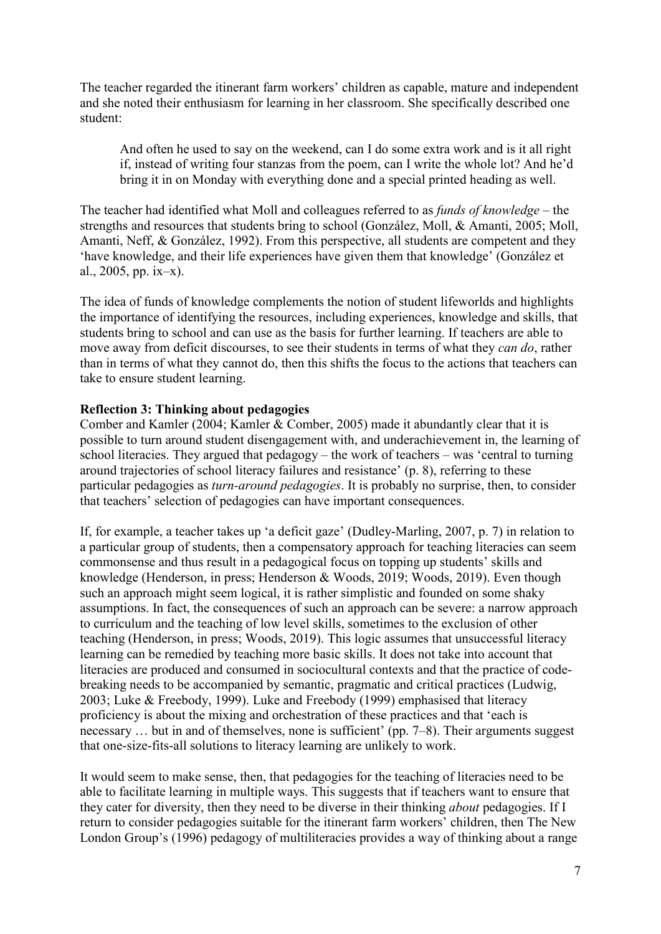The teacher regarded the itinerant farm workers' children as capable, mature and independent and she noted their enthusiasm for learning in her classroom. She specifically described one student:

And often he used to say on the weekend, can I do some extra work and is it all right if, instead of writing four stanzas from the poem, can I write the whole lot? And he'd bring it in on Monday with everything done and a special printed heading as well.

The teacher had identified what Moll and colleagues referred to as *funds of knowledge* – the strengths and resources that students bring to school (González, Moll, & Amanti, 2005; Moll, Amanti, Neff, & González, 1992). From this perspective, all students are competent and they 'have knowledge, and their life experiences have given them that knowledge' (González et al., 2005, pp. ix–x).

The idea of funds of knowledge complements the notion of student lifeworlds and highlights the importance of identifying the resources, including experiences, knowledge and skills, that students bring to school and can use as the basis for further learning. If teachers are able to move away from deficit discourses, to see their students in terms of what they *can do*, rather than in terms of what they cannot do, then this shifts the focus to the actions that teachers can take to ensure student learning.

# **Reflection 3: Thinking about pedagogies**

Comber and Kamler (2004; Kamler & Comber, 2005) made it abundantly clear that it is possible to turn around student disengagement with, and underachievement in, the learning of school literacies. They argued that pedagogy – the work of teachers – was 'central to turning around trajectories of school literacy failures and resistance' (p. 8), referring to these particular pedagogies as *turn-around pedagogies*. It is probably no surprise, then, to consider that teachers' selection of pedagogies can have important consequences.

If, for example, a teacher takes up 'a deficit gaze' (Dudley-Marling, 2007, p. 7) in relation to a particular group of students, then a compensatory approach for teaching literacies can seem commonsense and thus result in a pedagogical focus on topping up students' skills and knowledge (Henderson, in press; Henderson & Woods, 2019; Woods, 2019). Even though such an approach might seem logical, it is rather simplistic and founded on some shaky assumptions. In fact, the consequences of such an approach can be severe: a narrow approach to curriculum and the teaching of low level skills, sometimes to the exclusion of other teaching (Henderson, in press; Woods, 2019). This logic assumes that unsuccessful literacy learning can be remedied by teaching more basic skills. It does not take into account that literacies are produced and consumed in sociocultural contexts and that the practice of codebreaking needs to be accompanied by semantic, pragmatic and critical practices (Ludwig, 2003; Luke & Freebody, 1999). Luke and Freebody (1999) emphasised that literacy proficiency is about the mixing and orchestration of these practices and that 'each is necessary ... but in and of themselves, none is sufficient' (pp. 7–8). Their arguments suggest that one-size-fits-all solutions to literacy learning are unlikely to work.

It would seem to make sense, then, that pedagogies for the teaching of literacies need to be able to facilitate learning in multiple ways. This suggests that if teachers want to ensure that they cater for diversity, then they need to be diverse in their thinking *about* pedagogies. If I return to consider pedagogies suitable for the itinerant farm workers' children, then The New London Group's (1996) pedagogy of multiliteracies provides a way of thinking about a range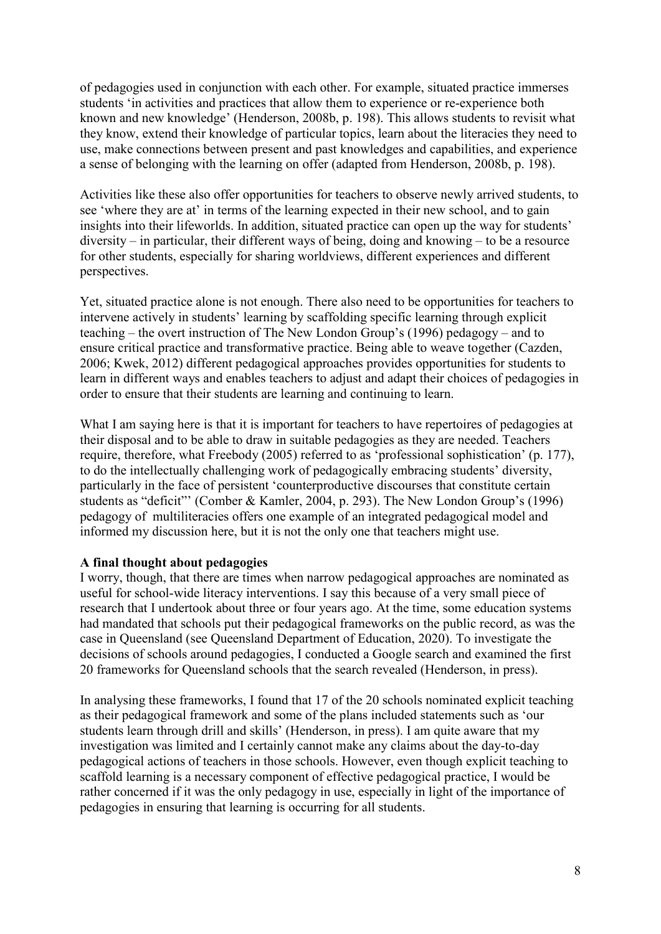of pedagogies used in conjunction with each other. For example, situated practice immerses students 'in activities and practices that allow them to experience or re-experience both known and new knowledge' (Henderson, 2008b, p. 198). This allows students to revisit what they know, extend their knowledge of particular topics, learn about the literacies they need to use, make connections between present and past knowledges and capabilities, and experience a sense of belonging with the learning on offer (adapted from Henderson, 2008b, p. 198).

Activities like these also offer opportunities for teachers to observe newly arrived students, to see 'where they are at' in terms of the learning expected in their new school, and to gain insights into their lifeworlds. In addition, situated practice can open up the way for students' diversity – in particular, their different ways of being, doing and knowing – to be a resource for other students, especially for sharing worldviews, different experiences and different perspectives.

Yet, situated practice alone is not enough. There also need to be opportunities for teachers to intervene actively in students' learning by scaffolding specific learning through explicit teaching – the overt instruction of The New London Group's (1996) pedagogy – and to ensure critical practice and transformative practice. Being able to weave together (Cazden, 2006; Kwek, 2012) different pedagogical approaches provides opportunities for students to learn in different ways and enables teachers to adjust and adapt their choices of pedagogies in order to ensure that their students are learning and continuing to learn.

What I am saying here is that it is important for teachers to have repertoires of pedagogies at their disposal and to be able to draw in suitable pedagogies as they are needed. Teachers require, therefore, what Freebody (2005) referred to as 'professional sophistication' (p. 177), to do the intellectually challenging work of pedagogically embracing students' diversity, particularly in the face of persistent 'counterproductive discourses that constitute certain students as "deficit"' (Comber & Kamler, 2004, p. 293). The New London Group's (1996) pedagogy of multiliteracies offers one example of an integrated pedagogical model and informed my discussion here, but it is not the only one that teachers might use.

# **A final thought about pedagogies**

I worry, though, that there are times when narrow pedagogical approaches are nominated as useful for school-wide literacy interventions. I say this because of a very small piece of research that I undertook about three or four years ago. At the time, some education systems had mandated that schools put their pedagogical frameworks on the public record, as was the case in Queensland (see Queensland Department of Education, 2020). To investigate the decisions of schools around pedagogies, I conducted a Google search and examined the first 20 frameworks for Queensland schools that the search revealed (Henderson, in press).

In analysing these frameworks, I found that 17 of the 20 schools nominated explicit teaching as their pedagogical framework and some of the plans included statements such as 'our students learn through drill and skills' (Henderson, in press). I am quite aware that my investigation was limited and I certainly cannot make any claims about the day-to-day pedagogical actions of teachers in those schools. However, even though explicit teaching to scaffold learning is a necessary component of effective pedagogical practice, I would be rather concerned if it was the only pedagogy in use, especially in light of the importance of pedagogies in ensuring that learning is occurring for all students.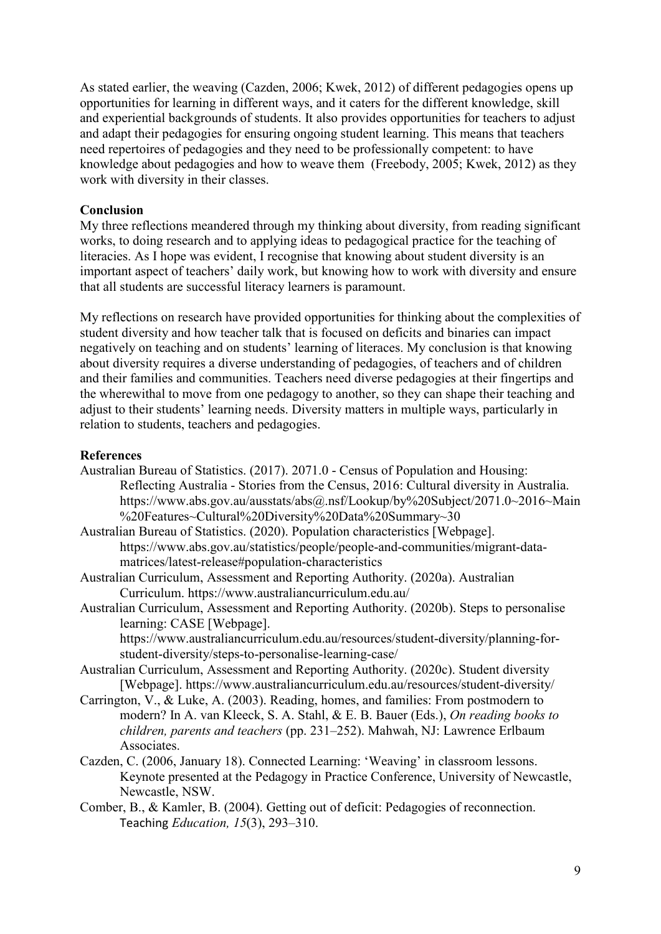As stated earlier, the weaving (Cazden, 2006; Kwek, 2012) of different pedagogies opens up opportunities for learning in different ways, and it caters for the different knowledge, skill and experiential backgrounds of students. It also provides opportunities for teachers to adjust and adapt their pedagogies for ensuring ongoing student learning. This means that teachers need repertoires of pedagogies and they need to be professionally competent: to have knowledge about pedagogies and how to weave them (Freebody, 2005; Kwek, 2012) as they work with diversity in their classes.

# **Conclusion**

My three reflections meandered through my thinking about diversity, from reading significant works, to doing research and to applying ideas to pedagogical practice for the teaching of literacies. As I hope was evident, I recognise that knowing about student diversity is an important aspect of teachers' daily work, but knowing how to work with diversity and ensure that all students are successful literacy learners is paramount.

My reflections on research have provided opportunities for thinking about the complexities of student diversity and how teacher talk that is focused on deficits and binaries can impact negatively on teaching and on students' learning of literaces. My conclusion is that knowing about diversity requires a diverse understanding of pedagogies, of teachers and of children and their families and communities. Teachers need diverse pedagogies at their fingertips and the wherewithal to move from one pedagogy to another, so they can shape their teaching and adjust to their students' learning needs. Diversity matters in multiple ways, particularly in relation to students, teachers and pedagogies.

### **References**

Australian Bureau of Statistics. (2017). 2071.0 - Census of Population and Housing: Reflecting Australia - Stories from the Census, 2016: Cultural diversity in Australia. https://www.abs.gov.au/ausstats/abs@.nsf/Lookup/by%20Subject/2071.0~2016~Main %20Features~Cultural%20Diversity%20Data%20Summary~30

Australian Bureau of Statistics. (2020). Population characteristics [Webpage]. https://www.abs.gov.au/statistics/people/people-and-communities/migrant-datamatrices/latest-release#population-characteristics

- Australian Curriculum, Assessment and Reporting Authority. (2020a). Australian Curriculum. https://www.australiancurriculum.edu.au/
- Australian Curriculum, Assessment and Reporting Authority. (2020b). Steps to personalise learning: CASE [Webpage].

https://www.australiancurriculum.edu.au/resources/student-diversity/planning-forstudent-diversity/steps-to-personalise-learning-case/

- Australian Curriculum, Assessment and Reporting Authority. (2020c). Student diversity [Webpage]. https://www.australiancurriculum.edu.au/resources/student-diversity/
- Carrington, V., & Luke, A. (2003). Reading, homes, and families: From postmodern to modern? In A. van Kleeck, S. A. Stahl, & E. B. Bauer (Eds.), *On reading books to children, parents and teachers* (pp. 231–252). Mahwah, NJ: Lawrence Erlbaum Associates.
- Cazden, C. (2006, January 18). Connected Learning: 'Weaving' in classroom lessons. Keynote presented at the Pedagogy in Practice Conference, University of Newcastle, Newcastle, NSW.

Comber, B., & Kamler, B. (2004). Getting out of deficit: Pedagogies of reconnection. Teaching *Education, 15*(3), 293–310.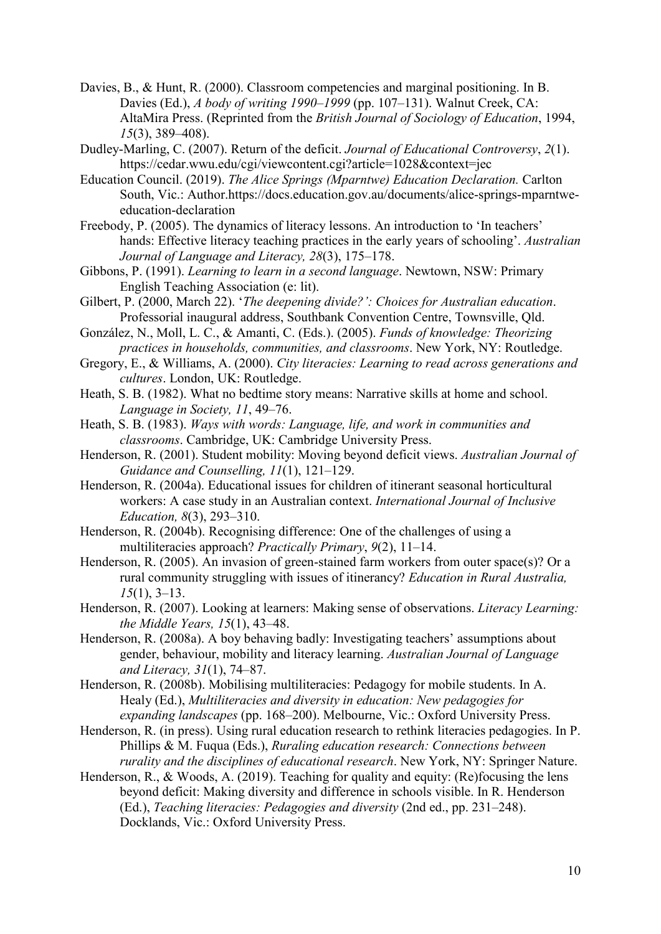- Davies, B., & Hunt, R. (2000). Classroom competencies and marginal positioning. In B. Davies (Ed.), *A body of writing 1990–1999* (pp. 107–131). Walnut Creek, CA: AltaMira Press. (Reprinted from the *British Journal of Sociology of Education*, 1994, *15*(3), 389–408).
- Dudley-Marling, C. (2007). Return of the deficit. *Journal of Educational Controversy*, *2*(1). https://cedar.wwu.edu/cgi/viewcontent.cgi?article=1028&context=jec
- Education Council. (2019). *The Alice Springs (Mparntwe) Education Declaration.* Carlton South, Vic.: Author.https://docs.education.gov.au/documents/alice-springs-mparntweeducation-declaration
- Freebody, P. (2005). The dynamics of literacy lessons. An introduction to 'In teachers' hands: Effective literacy teaching practices in the early years of schooling'. *Australian Journal of Language and Literacy, 28*(3), 175–178.
- Gibbons, P. (1991). *Learning to learn in a second language*. Newtown, NSW: Primary English Teaching Association (e: lit).
- Gilbert, P. (2000, March 22). '*The deepening divide?': Choices for Australian education*. Professorial inaugural address, Southbank Convention Centre, Townsville, Qld.
- González, N., Moll, L. C., & Amanti, C. (Eds.). (2005). *Funds of knowledge: Theorizing practices in households, communities, and classrooms*. New York, NY: Routledge.
- Gregory, E., & Williams, A. (2000). *City literacies: Learning to read across generations and cultures*. London, UK: Routledge.
- Heath, S. B. (1982). What no bedtime story means: Narrative skills at home and school. *Language in Society, 11*, 49–76.
- Heath, S. B. (1983). *Ways with words: Language, life, and work in communities and classrooms*. Cambridge, UK: Cambridge University Press.
- Henderson, R. (2001). Student mobility: Moving beyond deficit views. *Australian Journal of Guidance and Counselling, 11*(1), 121–129.
- Henderson, R. (2004a). Educational issues for children of itinerant seasonal horticultural workers: A case study in an Australian context. *International Journal of Inclusive Education, 8*(3), 293–310.
- Henderson, R. (2004b). Recognising difference: One of the challenges of using a multiliteracies approach? *Practically Primary*, *9*(2), 11–14.
- Henderson, R. (2005). An invasion of green-stained farm workers from outer space(s)? Or a rural community struggling with issues of itinerancy? *Education in Rural Australia, 15*(1), 3–13.
- Henderson, R. (2007). Looking at learners: Making sense of observations. *Literacy Learning: the Middle Years, 15*(1), 43–48.
- Henderson, R. (2008a). A boy behaving badly: Investigating teachers' assumptions about gender, behaviour, mobility and literacy learning. *Australian Journal of Language and Literacy, 31*(1), 74–87.
- Henderson, R. (2008b). Mobilising multiliteracies: Pedagogy for mobile students. In A. Healy (Ed.), *Multiliteracies and diversity in education: New pedagogies for expanding landscapes* (pp. 168–200). Melbourne, Vic.: Oxford University Press.
- Henderson, R. (in press). Using rural education research to rethink literacies pedagogies. In P. Phillips & M. Fuqua (Eds.), *Ruraling education research: Connections between rurality and the disciplines of educational research*. New York, NY: Springer Nature.
- Henderson, R., & Woods, A. (2019). Teaching for quality and equity: (Re)focusing the lens beyond deficit: Making diversity and difference in schools visible. In R. Henderson (Ed.), *Teaching literacies: Pedagogies and diversity* (2nd ed., pp. 231–248). Docklands, Vic.: Oxford University Press.